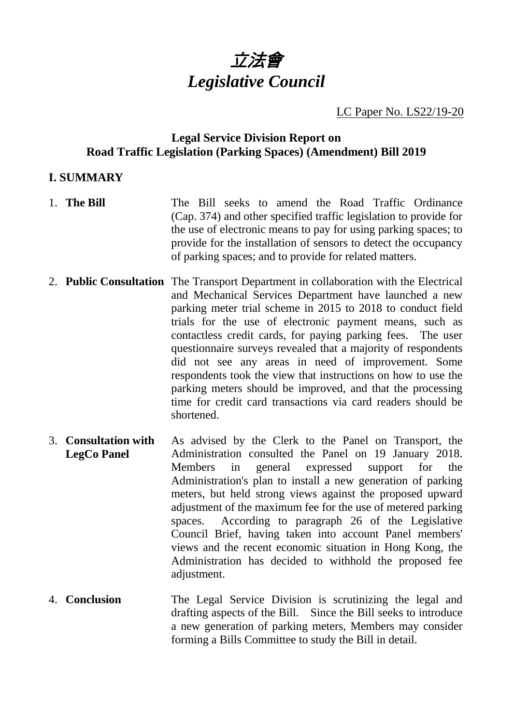

LC Paper No. LS22/19-20

### **Legal Service Division Report on Road Traffic Legislation (Parking Spaces) (Amendment) Bill 2019**

### **I. SUMMARY**

- 1. **The Bill** The Bill seeks to amend the Road Traffic Ordinance (Cap. 374) and other specified traffic legislation to provide for the use of electronic means to pay for using parking spaces; to provide for the installation of sensors to detect the occupancy of parking spaces; and to provide for related matters.
- 2. **Public Consultation** The Transport Department in collaboration with the Electrical and Mechanical Services Department have launched a new parking meter trial scheme in 2015 to 2018 to conduct field trials for the use of electronic payment means, such as contactless credit cards, for paying parking fees. The user questionnaire surveys revealed that a majority of respondents did not see any areas in need of improvement. Some respondents took the view that instructions on how to use the parking meters should be improved, and that the processing time for credit card transactions via card readers should be shortened.
- 3. **Consultation with LegCo Panel** As advised by the Clerk to the Panel on Transport, the Administration consulted the Panel on 19 January 2018. Members in general expressed support for the Administration's plan to install a new generation of parking meters, but held strong views against the proposed upward adjustment of the maximum fee for the use of metered parking spaces. According to paragraph 26 of the Legislative Council Brief, having taken into account Panel members' views and the recent economic situation in Hong Kong, the Administration has decided to withhold the proposed fee adjustment.
- 4. **Conclusion** The Legal Service Division is scrutinizing the legal and drafting aspects of the Bill. Since the Bill seeks to introduce a new generation of parking meters, Members may consider forming a Bills Committee to study the Bill in detail.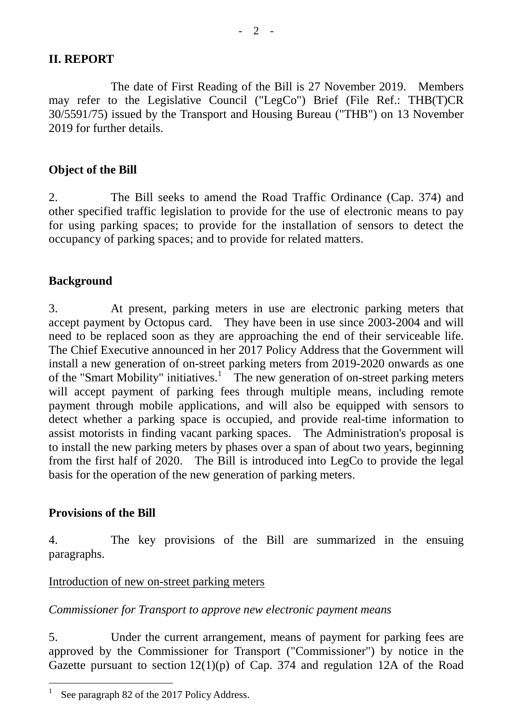### **II. REPORT**

The date of First Reading of the Bill is 27 November 2019. Members may refer to the Legislative Council ("LegCo") Brief (File Ref.: THB(T)CR 30/5591/75) issued by the Transport and Housing Bureau ("THB") on 13 November 2019 for further details.

### **Object of the Bill**

2. The Bill seeks to amend the Road Traffic Ordinance (Cap. 374) and other specified traffic legislation to provide for the use of electronic means to pay for using parking spaces; to provide for the installation of sensors to detect the occupancy of parking spaces; and to provide for related matters.

### **Background**

3. At present, parking meters in use are electronic parking meters that accept payment by Octopus card. They have been in use since 2003-2004 and will need to be replaced soon as they are approaching the end of their serviceable life. The Chief Executive announced in her 2017 Policy Address that the Government will install a new generation of on-street parking meters from 2019-2020 onwards as one of the "Smart Mobility" initiatives.<sup>[1](#page-1-0)</sup> The new generation of on-street parking meters will accept payment of parking fees through multiple means, including remote payment through mobile applications, and will also be equipped with sensors to detect whether a parking space is occupied, and provide real-time information to assist motorists in finding vacant parking spaces. The Administration's proposal is to install the new parking meters by phases over a span of about two years, beginning from the first half of 2020. The Bill is introduced into LegCo to provide the legal basis for the operation of the new generation of parking meters.

### **Provisions of the Bill**

4. The key provisions of the Bill are summarized in the ensuing paragraphs.

### Introduction of new on-street parking meters

### *Commissioner for Transport to approve new electronic payment means*

5. Under the current arrangement, means of payment for parking fees are approved by the Commissioner for Transport ("Commissioner") by notice in the Gazette pursuant to section  $12(1)(p)$  of Cap. 374 and regulation 12A of the Road

<span id="page-1-0"></span>See paragraph 82 of the 2017 Policy Address.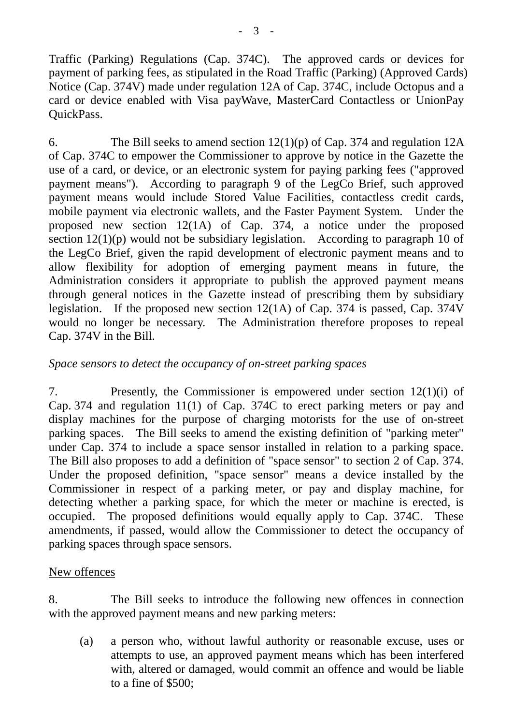Traffic (Parking) Regulations (Cap. 374C). The approved cards or devices for payment of parking fees, as stipulated in the Road Traffic (Parking) (Approved Cards) Notice (Cap. 374V) made under regulation 12A of Cap. 374C, include Octopus and a card or device enabled with Visa payWave, MasterCard Contactless or UnionPay QuickPass.

6. The Bill seeks to amend section 12(1)(p) of Cap. 374 and regulation 12A of Cap. 374C to empower the Commissioner to approve by notice in the Gazette the use of a card, or device, or an electronic system for paying parking fees ("approved payment means"). According to paragraph 9 of the LegCo Brief, such approved payment means would include Stored Value Facilities, contactless credit cards, mobile payment via electronic wallets, and the Faster Payment System. Under the proposed new section 12(1A) of Cap. 374, a notice under the proposed section  $12(1)(p)$  would not be subsidiary legislation. According to paragraph 10 of the LegCo Brief, given the rapid development of electronic payment means and to allow flexibility for adoption of emerging payment means in future, the Administration considers it appropriate to publish the approved payment means through general notices in the Gazette instead of prescribing them by subsidiary legislation. If the proposed new section 12(1A) of Cap. 374 is passed, Cap. 374V would no longer be necessary. The Administration therefore proposes to repeal Cap. 374V in the Bill.

## *Space sensors to detect the occupancy of on-street parking spaces*

7. Presently, the Commissioner is empowered under section 12(1)(i) of Cap. 374 and regulation 11(1) of Cap. 374C to erect parking meters or pay and display machines for the purpose of charging motorists for the use of on-street parking spaces. The Bill seeks to amend the existing definition of "parking meter" under Cap. 374 to include a space sensor installed in relation to a parking space. The Bill also proposes to add a definition of "space sensor" to section 2 of Cap. 374. Under the proposed definition, "space sensor" means a device installed by the Commissioner in respect of a parking meter, or pay and display machine, for detecting whether a parking space, for which the meter or machine is erected, is occupied. The proposed definitions would equally apply to Cap. 374C. These amendments, if passed, would allow the Commissioner to detect the occupancy of parking spaces through space sensors.

### New offences

8. The Bill seeks to introduce the following new offences in connection with the approved payment means and new parking meters:

(a) a person who, without lawful authority or reasonable excuse, uses or attempts to use, an approved payment means which has been interfered with, altered or damaged, would commit an offence and would be liable to a fine of \$500;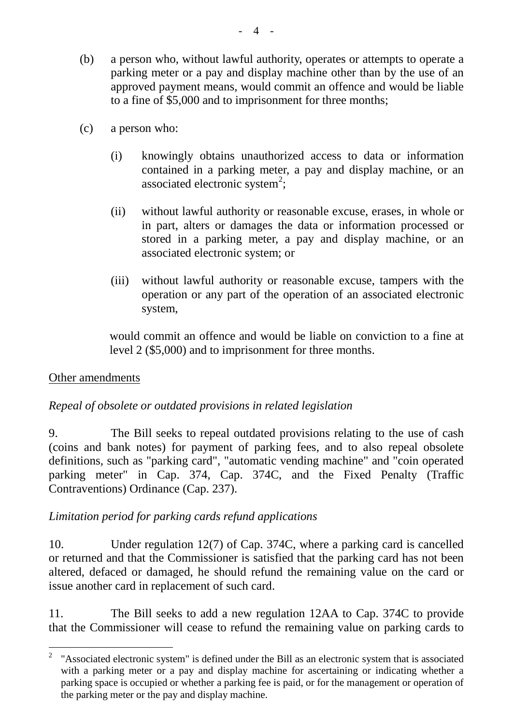- (b) a person who, without lawful authority, operates or attempts to operate a parking meter or a pay and display machine other than by the use of an approved payment means, would commit an offence and would be liable to a fine of \$5,000 and to imprisonment for three months;
- (c) a person who:
	- (i) knowingly obtains unauthorized access to data or information contained in a parking meter, a pay and display machine, or an associated electronic system<sup>[2](#page-3-0)</sup>;
	- (ii) without lawful authority or reasonable excuse, erases, in whole or in part, alters or damages the data or information processed or stored in a parking meter, a pay and display machine, or an associated electronic system; or
	- (iii) without lawful authority or reasonable excuse, tampers with the operation or any part of the operation of an associated electronic system,

would commit an offence and would be liable on conviction to a fine at level 2 (\$5,000) and to imprisonment for three months.

# Other amendments

# *Repeal of obsolete or outdated provisions in related legislation*

9. The Bill seeks to repeal outdated provisions relating to the use of cash (coins and bank notes) for payment of parking fees, and to also repeal obsolete definitions, such as "parking card", "automatic vending machine" and "coin operated parking meter" in Cap. 374, Cap. 374C, and the Fixed Penalty (Traffic Contraventions) Ordinance (Cap. 237).

# *Limitation period for parking cards refund applications*

10. Under regulation 12(7) of Cap. 374C, where a parking card is cancelled or returned and that the Commissioner is satisfied that the parking card has not been altered, defaced or damaged, he should refund the remaining value on the card or issue another card in replacement of such card.

11. The Bill seeks to add a new regulation 12AA to Cap. 374C to provide that the Commissioner will cease to refund the remaining value on parking cards to

<span id="page-3-0"></span><sup>&</sup>lt;sup>2</sup> "Associated electronic system" is defined under the Bill as an electronic system that is associated with a parking meter or a pay and display machine for ascertaining or indicating whether a parking space is occupied or whether a parking fee is paid, or for the management or operation of the parking meter or the pay and display machine.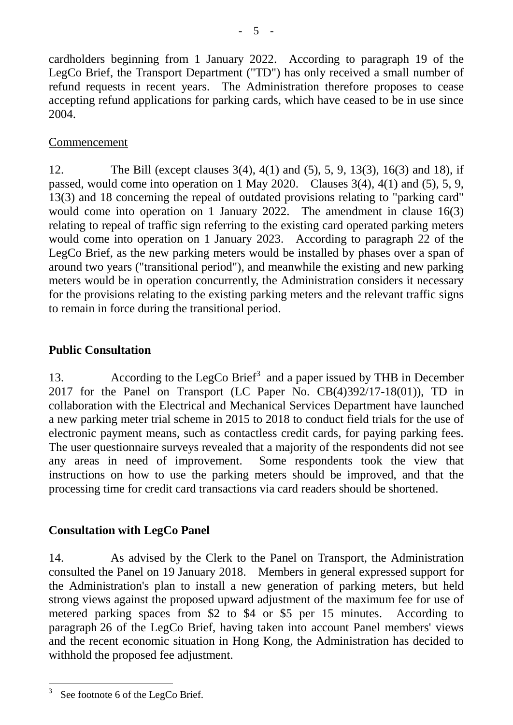cardholders beginning from 1 January 2022. According to paragraph 19 of the LegCo Brief, the Transport Department ("TD") has only received a small number of refund requests in recent years. The Administration therefore proposes to cease accepting refund applications for parking cards, which have ceased to be in use since 2004.

## **Commencement**

12. The Bill (except clauses 3(4), 4(1) and (5), 5, 9, 13(3), 16(3) and 18), if passed, would come into operation on 1 May 2020. Clauses 3(4), 4(1) and (5), 5, 9, 13(3) and 18 concerning the repeal of outdated provisions relating to "parking card" would come into operation on 1 January 2022. The amendment in clause 16(3) relating to repeal of traffic sign referring to the existing card operated parking meters would come into operation on 1 January 2023. According to paragraph 22 of the LegCo Brief, as the new parking meters would be installed by phases over a span of around two years ("transitional period"), and meanwhile the existing and new parking meters would be in operation concurrently, the Administration considers it necessary for the provisions relating to the existing parking meters and the relevant traffic signs to remain in force during the transitional period.

# **Public Consultation**

1[3](#page-4-0). According to the LegCo Brief<sup>3</sup> and a paper issued by THB in December 2017 for the Panel on Transport (LC Paper No. CB(4)392/17-18(01)), TD in collaboration with the Electrical and Mechanical Services Department have launched a new parking meter trial scheme in 2015 to 2018 to conduct field trials for the use of electronic payment means, such as contactless credit cards, for paying parking fees. The user questionnaire surveys revealed that a majority of the respondents did not see any areas in need of improvement. Some respondents took the view that instructions on how to use the parking meters should be improved, and that the processing time for credit card transactions via card readers should be shortened.

# **Consultation with LegCo Panel**

14. As advised by the Clerk to the Panel on Transport, the Administration consulted the Panel on 19 January 2018. Members in general expressed support for the Administration's plan to install a new generation of parking meters, but held strong views against the proposed upward adjustment of the maximum fee for use of metered parking spaces from \$2 to \$4 or \$5 per 15 minutes. According to paragraph 26 of the LegCo Brief, having taken into account Panel members' views and the recent economic situation in Hong Kong, the Administration has decided to withhold the proposed fee adjustment.

<span id="page-4-0"></span>See footnote 6 of the LegCo Brief.